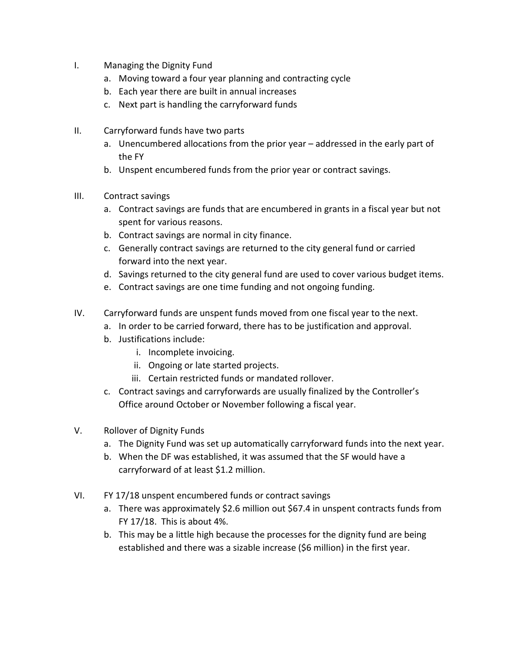- I. Managing the Dignity Fund
	- a. Moving toward a four year planning and contracting cycle
	- b. Each year there are built in annual increases
	- c. Next part is handling the carryforward funds
- II. Carryforward funds have two parts
	- a. Unencumbered allocations from the prior year addressed in the early part of the FY
	- b. Unspent encumbered funds from the prior year or contract savings.
- III. Contract savings
	- a. Contract savings are funds that are encumbered in grants in a fiscal year but not spent for various reasons.
	- b. Contract savings are normal in city finance.
	- c. Generally contract savings are returned to the city general fund or carried forward into the next year.
	- d. Savings returned to the city general fund are used to cover various budget items.
	- e. Contract savings are one time funding and not ongoing funding.
- IV. Carryforward funds are unspent funds moved from one fiscal year to the next.
	- a. In order to be carried forward, there has to be justification and approval.
	- b. Justifications include:
		- i. Incomplete invoicing.
		- ii. Ongoing or late started projects.
		- iii. Certain restricted funds or mandated rollover.
	- c. Contract savings and carryforwards are usually finalized by the Controller's Office around October or November following a fiscal year.
- V. Rollover of Dignity Funds
	- a. The Dignity Fund was set up automatically carryforward funds into the next year.
	- b. When the DF was established, it was assumed that the SF would have a carryforward of at least \$1.2 million.
- VI. FY 17/18 unspent encumbered funds or contract savings
	- a. There was approximately \$2.6 million out \$67.4 in unspent contracts funds from FY 17/18. This is about 4%.
	- b. This may be a little high because the processes for the dignity fund are being established and there was a sizable increase (\$6 million) in the first year.